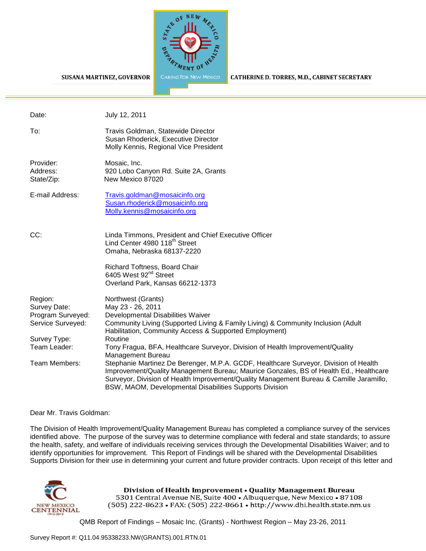

#### **SUSANA MARTINEZ, GOVERNOR**

CATHERINE D. TORRES, M.D., CABINET SECRETARY

| Date:                                                             | July 12, 2011                                                                                                                                                                                                                                                                                                                       |
|-------------------------------------------------------------------|-------------------------------------------------------------------------------------------------------------------------------------------------------------------------------------------------------------------------------------------------------------------------------------------------------------------------------------|
| To:                                                               | Travis Goldman, Statewide Director<br>Susan Rhoderick, Executive Director<br>Molly Kennis, Regional Vice President                                                                                                                                                                                                                  |
| Provider:<br>Address:<br>State/Zip:                               | Mosaic, Inc.<br>920 Lobo Canyon Rd. Suite 2A, Grants<br>New Mexico 87020                                                                                                                                                                                                                                                            |
| E-mail Address:                                                   | Travis.goldman@mosaicinfo.org<br>Susan.rhoderick@mosaicinfo.org<br>Molly.kennis@mosaicinfo.org                                                                                                                                                                                                                                      |
| CC:                                                               | Linda Timmons, President and Chief Executive Officer<br>Lind Center 4980 118 <sup>th</sup> Street<br>Omaha, Nebraska 68137-2220                                                                                                                                                                                                     |
|                                                                   | Richard Toftness, Board Chair<br>6405 West 92 <sup>nd</sup> Street<br>Overland Park, Kansas 66212-1373                                                                                                                                                                                                                              |
| Region:<br>Survey Date:<br>Program Surveyed:<br>Service Surveyed: | Northwest (Grants)<br>May 23 - 26, 2011<br>Developmental Disabilities Waiver<br>Community Living (Supported Living & Family Living) & Community Inclusion (Adult<br>Habilitation, Community Access & Supported Employment)                                                                                                          |
| Survey Type:<br>Team Leader:                                      | Routine<br>Tony Fragua, BFA, Healthcare Surveyor, Division of Health Improvement/Quality<br><b>Management Bureau</b>                                                                                                                                                                                                                |
| Team Members:                                                     | Stephanie Martinez De Berenger, M.P.A. GCDF, Healthcare Surveyor, Division of Health<br>Improvement/Quality Management Bureau; Maurice Gonzales, BS of Health Ed., Healthcare<br>Surveyor, Division of Health Improvement/Quality Management Bureau & Camille Jaramillo,<br>BSW, MAOM, Developmental Disabilities Supports Division |

#### Dear Mr. Travis Goldman:

The Division of Health Improvement/Quality Management Bureau has completed a compliance survey of the services identified above. The purpose of the survey was to determine compliance with federal and state standards; to assure the health, safety, and welfare of individuals receiving services through the Developmental Disabilities Waiver; and to identify opportunities for improvement. This Report of Findings will be shared with the Developmental Disabilities Supports Division for their use in determining your current and future provider contracts. Upon receipt of this letter and



Division of Health Improvement . Quality Management Bureau 5301 Central Avenue NE, Suite 400 · Albuquerque, New Mexico · 87108 (505) 222-8623 • FAX: (505) 222-8661 • http://www.dhi.health.state.nm.us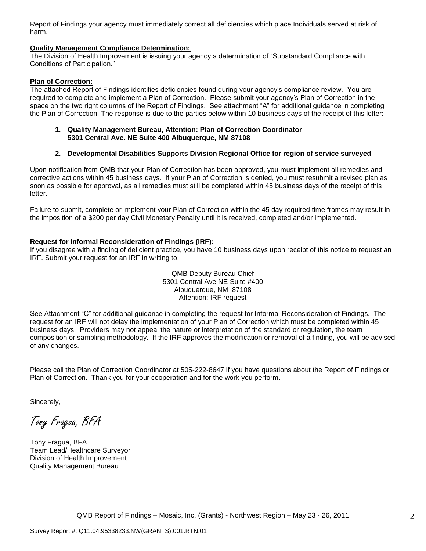Report of Findings your agency must immediately correct all deficiencies which place Individuals served at risk of harm.

#### **Quality Management Compliance Determination:**

The Division of Health Improvement is issuing your agency a determination of "Substandard Compliance with Conditions of Participation."

#### **Plan of Correction:**

The attached Report of Findings identifies deficiencies found during your agency"s compliance review. You are required to complete and implement a Plan of Correction. Please submit your agency"s Plan of Correction in the space on the two right columns of the Report of Findings. See attachment "A" for additional guidance in completing the Plan of Correction. The response is due to the parties below within 10 business days of the receipt of this letter:

#### **1. Quality Management Bureau, Attention: Plan of Correction Coordinator 5301 Central Ave. NE Suite 400 Albuquerque, NM 87108**

#### **2. Developmental Disabilities Supports Division Regional Office for region of service surveyed**

Upon notification from QMB that your Plan of Correction has been approved, you must implement all remedies and corrective actions within 45 business days. If your Plan of Correction is denied, you must resubmit a revised plan as soon as possible for approval, as all remedies must still be completed within 45 business days of the receipt of this letter.

Failure to submit, complete or implement your Plan of Correction within the 45 day required time frames may result in the imposition of a \$200 per day Civil Monetary Penalty until it is received, completed and/or implemented.

#### **Request for Informal Reconsideration of Findings (IRF):**

If you disagree with a finding of deficient practice, you have 10 business days upon receipt of this notice to request an IRF. Submit your request for an IRF in writing to:

> QMB Deputy Bureau Chief 5301 Central Ave NE Suite #400 Albuquerque, NM 87108 Attention: IRF request

See Attachment "C" for additional guidance in completing the request for Informal Reconsideration of Findings. The request for an IRF will not delay the implementation of your Plan of Correction which must be completed within 45 business days. Providers may not appeal the nature or interpretation of the standard or regulation, the team composition or sampling methodology. If the IRF approves the modification or removal of a finding, you will be advised of any changes.

Please call the Plan of Correction Coordinator at 505-222-8647 if you have questions about the Report of Findings or Plan of Correction. Thank you for your cooperation and for the work you perform.

Sincerely,

Tony Fragua, BFA

Tony Fragua, BFA Team Lead/Healthcare Surveyor Division of Health Improvement Quality Management Bureau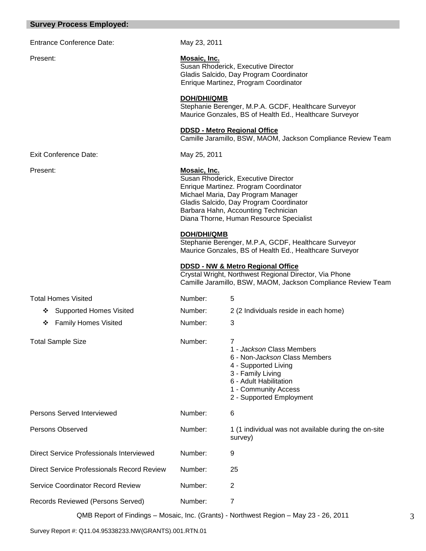### **Survey Process Employed:**

| <b>Entrance Conference Date:</b> | May 23, 2011                                                                                                                          |
|----------------------------------|---------------------------------------------------------------------------------------------------------------------------------------|
| Present:                         | Mosaic, Inc.<br>Susan Rhoderick, Executive Director<br>Gladis Salcido, Day Program Coordinat<br>Enrique Martinez, Program Coordinator |
|                                  | <b>DOH/DHI/QMB</b><br>Stephanie Berenger, M.P.A. GCDF, He<br>Maurice Gonzales, BS of Health Ed., He                                   |
|                                  | <b>DDSD - Metro Regional Office</b><br>Camille Jaramillo, BSW, MAOM, Jackso                                                           |
|                                  |                                                                                                                                       |

Susan Rhoderick, Executive Director dinator

, Healthcare Surveyor d., Healthcare Surveyor

ackson Compliance Review Team

Exit Conference Date: May 25, 2011

#### Present: **Mosaic, Inc.**

Susan Rhoderick, Executive Director Enrique Martinez. Program Coordinator Michael Maria, Day Program Manager Gladis Salcido, Day Program Coordinator Barbara Hahn, Accounting Technician Diana Thorne, Human Resource Specialist

#### **DOH/DHI/QMB**

Stephanie Berenger, M.P.A, GCDF, Healthcare Surveyor Maurice Gonzales, BS of Health Ed., Healthcare Surveyor

#### **DDSD - NW & Metro Regional Office**

Crystal Wright, Northwest Regional Director, Via Phone Camille Jaramillo, BSW, MAOM, Jackson Compliance Review Team

| Total Homes Visited                               | Number: | 5                                                                                                                                                                                          |
|---------------------------------------------------|---------|--------------------------------------------------------------------------------------------------------------------------------------------------------------------------------------------|
| ❖ Supported Homes Visited                         | Number: | 2 (2 Individuals reside in each home)                                                                                                                                                      |
| <b>Family Homes Visited</b><br>❖                  | Number: | 3                                                                                                                                                                                          |
| <b>Total Sample Size</b>                          | Number: | 7<br>1 - Jackson Class Members<br>6 - Non-Jackson Class Members<br>4 - Supported Living<br>3 - Family Living<br>6 - Adult Habilitation<br>1 - Community Access<br>2 - Supported Employment |
| Persons Served Interviewed                        | Number: | 6                                                                                                                                                                                          |
| Persons Observed                                  | Number: | 1 (1 individual was not available during the on-site<br>survey)                                                                                                                            |
| <b>Direct Service Professionals Interviewed</b>   | Number: | 9                                                                                                                                                                                          |
| <b>Direct Service Professionals Record Review</b> | Number: | 25                                                                                                                                                                                         |
| <b>Service Coordinator Record Review</b>          | Number: | 2                                                                                                                                                                                          |
| Records Reviewed (Persons Served)                 | Number: | 7                                                                                                                                                                                          |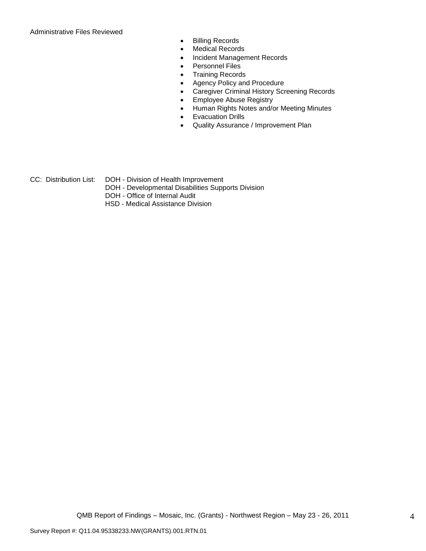Administrative Files Reviewed

- Billing Records
- Medical Records
- Incident Management Records
- Personnel Files
- Training Records
- Agency Policy and Procedure
- Caregiver Criminal History Screening Records
- **Employee Abuse Registry**
- Human Rights Notes and/or Meeting Minutes
- **•** Evacuation Drills
- Quality Assurance / Improvement Plan
- CC: Distribution List: DOH Division of Health Improvement
	- DOH Developmental Disabilities Supports Division
	- DOH Office of Internal Audit
	- HSD Medical Assistance Division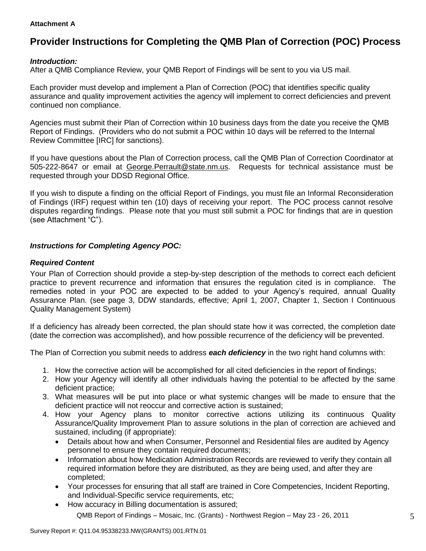### **Attachment A**

# **Provider Instructions for Completing the QMB Plan of Correction (POC) Process**

# *Introduction:*

After a QMB Compliance Review, your QMB Report of Findings will be sent to you via US mail.

Each provider must develop and implement a Plan of Correction (POC) that identifies specific quality assurance and quality improvement activities the agency will implement to correct deficiencies and prevent continued non compliance.

Agencies must submit their Plan of Correction within 10 business days from the date you receive the QMB Report of Findings. (Providers who do not submit a POC within 10 days will be referred to the Internal Review Committee [IRC] for sanctions).

If you have questions about the Plan of Correction process, call the QMB Plan of Correction Coordinator at 505-222-8647 or email at George.Perrault@state.nm.us. Requests for technical assistance must be requested through your DDSD Regional Office.

If you wish to dispute a finding on the official Report of Findings, you must file an Informal Reconsideration of Findings (IRF) request within ten (10) days of receiving your report. The POC process cannot resolve disputes regarding findings. Please note that you must still submit a POC for findings that are in question (see Attachment "C").

# *Instructions for Completing Agency POC:*

## *Required Content*

Your Plan of Correction should provide a step-by-step description of the methods to correct each deficient practice to prevent recurrence and information that ensures the regulation cited is in compliance. The remedies noted in your POC are expected to be added to your Agency"s required, annual Quality Assurance Plan. (see page 3, DDW standards, effective; April 1, 2007, Chapter 1, Section I Continuous Quality Management System)

If a deficiency has already been corrected, the plan should state how it was corrected, the completion date (date the correction was accomplished), and how possible recurrence of the deficiency will be prevented.

The Plan of Correction you submit needs to address *each deficiency* in the two right hand columns with:

- 1. How the corrective action will be accomplished for all cited deficiencies in the report of findings;
- 2. How your Agency will identify all other individuals having the potential to be affected by the same deficient practice;
- 3. What measures will be put into place or what systemic changes will be made to ensure that the deficient practice will not reoccur and corrective action is sustained;
- 4. How your Agency plans to monitor corrective actions utilizing its continuous Quality Assurance/Quality Improvement Plan to assure solutions in the plan of correction are achieved and sustained, including (if appropriate):
	- Details about how and when Consumer, Personnel and Residential files are audited by Agency personnel to ensure they contain required documents;
	- Information about how Medication Administration Records are reviewed to verify they contain all required information before they are distributed, as they are being used, and after they are completed;
	- Your processes for ensuring that all staff are trained in Core Competencies, Incident Reporting, and Individual-Specific service requirements, etc;
	- QMB Report of Findings Mosaic, Inc. (Grants) Northwest Region May 23 26, 2011 • How accuracy in Billing documentation is assured;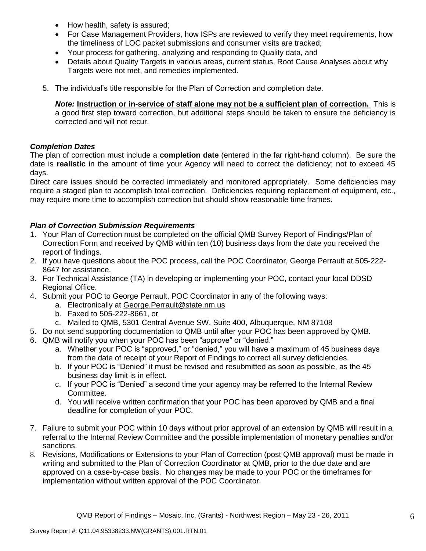- How health, safety is assured;
- For Case Management Providers, how ISPs are reviewed to verify they meet requirements, how the timeliness of LOC packet submissions and consumer visits are tracked;
- Your process for gathering, analyzing and responding to Quality data, and
- Details about Quality Targets in various areas, current status, Root Cause Analyses about why Targets were not met, and remedies implemented.
- 5. The individual"s title responsible for the Plan of Correction and completion date.

*Note:* **Instruction or in-service of staff alone may not be a sufficient plan of correction.** This is a good first step toward correction, but additional steps should be taken to ensure the deficiency is corrected and will not recur.

## *Completion Dates*

The plan of correction must include a **completion date** (entered in the far right-hand column). Be sure the date is **realistic** in the amount of time your Agency will need to correct the deficiency; not to exceed 45 days.

Direct care issues should be corrected immediately and monitored appropriately. Some deficiencies may require a staged plan to accomplish total correction. Deficiencies requiring replacement of equipment, etc., may require more time to accomplish correction but should show reasonable time frames.

# *Plan of Correction Submission Requirements*

- 1. Your Plan of Correction must be completed on the official QMB Survey Report of Findings/Plan of Correction Form and received by QMB within ten (10) business days from the date you received the report of findings.
- 2. If you have questions about the POC process, call the POC Coordinator, George Perrault at 505-222- 8647 for assistance.
- 3. For Technical Assistance (TA) in developing or implementing your POC, contact your local DDSD Regional Office.
- 4. Submit your POC to George Perrault, POC Coordinator in any of the following ways:
	- a. Electronically at [George.Perrault@state.nm.us](mailto:George.Perrault@state.nm.us)
	- b. Faxed to 505-222-8661, or
	- c. Mailed to QMB, 5301 Central Avenue SW, Suite 400, Albuquerque, NM 87108
- 5. Do not send supporting documentation to QMB until after your POC has been approved by QMB.
- 6. QMB will notify you when your POC has been "approve" or "denied."
	- a. Whether your POC is "approved," or "denied," you will have a maximum of 45 business days from the date of receipt of your Report of Findings to correct all survey deficiencies.
	- b. If your POC is "Denied" it must be revised and resubmitted as soon as possible, as the 45 business day limit is in effect.
	- c. If your POC is "Denied" a second time your agency may be referred to the Internal Review Committee.
	- d. You will receive written confirmation that your POC has been approved by QMB and a final deadline for completion of your POC.
- 7. Failure to submit your POC within 10 days without prior approval of an extension by QMB will result in a referral to the Internal Review Committee and the possible implementation of monetary penalties and/or sanctions.
- 8. Revisions, Modifications or Extensions to your Plan of Correction (post QMB approval) must be made in writing and submitted to the Plan of Correction Coordinator at QMB, prior to the due date and are approved on a case-by-case basis. No changes may be made to your POC or the timeframes for implementation without written approval of the POC Coordinator.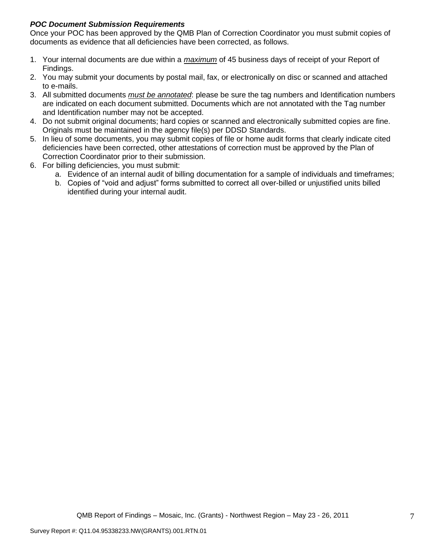# *POC Document Submission Requirements*

Once your POC has been approved by the QMB Plan of Correction Coordinator you must submit copies of documents as evidence that all deficiencies have been corrected, as follows.

- 1. Your internal documents are due within a *maximum* of 45 business days of receipt of your Report of Findings.
- 2. You may submit your documents by postal mail, fax, or electronically on disc or scanned and attached to e-mails.
- 3. All submitted documents *must be annotated*: please be sure the tag numbers and Identification numbers are indicated on each document submitted. Documents which are not annotated with the Tag number and Identification number may not be accepted.
- 4. Do not submit original documents; hard copies or scanned and electronically submitted copies are fine. Originals must be maintained in the agency file(s) per DDSD Standards.
- 5. In lieu of some documents, you may submit copies of file or home audit forms that clearly indicate cited deficiencies have been corrected, other attestations of correction must be approved by the Plan of Correction Coordinator prior to their submission.
- 6. For billing deficiencies, you must submit:
	- a. Evidence of an internal audit of billing documentation for a sample of individuals and timeframes;
	- b. Copies of "void and adjust" forms submitted to correct all over-billed or unjustified units billed identified during your internal audit.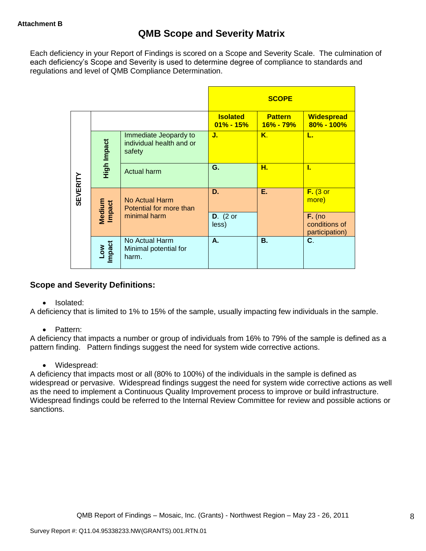Each deficiency in your Report of Findings is scored on a Scope and Severity Scale. The culmination of each deficiency"s Scope and Severity is used to determine degree of compliance to standards and regulations and level of QMB Compliance Determination.

|                 |                      |                                                             |                                  | <b>SCOPE</b>                    |                                     |
|-----------------|----------------------|-------------------------------------------------------------|----------------------------------|---------------------------------|-------------------------------------|
|                 |                      |                                                             | <b>Isolated</b><br>$01\% - 15\%$ | <b>Pattern</b><br>$16\% - 79\%$ | <b>Widespread</b><br>$80\% - 100\%$ |
|                 | High Impact          | Immediate Jeopardy to<br>individual health and or<br>safety | J.                               | Κ.                              | L.                                  |
|                 |                      | Actual harm                                                 | G.                               | Н.                              | L                                   |
| <b>SEVERITY</b> | Medium<br>Impact     | <b>No Actual Harm</b><br>Potential for more than            | D.                               | Е.                              | $F.$ (3 or<br>more)                 |
|                 |                      |                                                             | minimal harm                     | $D.$ (2 or<br>less)             |                                     |
|                 | <b>Impact</b><br>Low | No Actual Harm<br>Minimal potential for<br>harm.            | А.                               | <b>B.</b>                       | C.                                  |

# **Scope and Severity Definitions:**

• Isolated:

A deficiency that is limited to 1% to 15% of the sample, usually impacting few individuals in the sample.

• Pattern:

A deficiency that impacts a number or group of individuals from 16% to 79% of the sample is defined as a pattern finding. Pattern findings suggest the need for system wide corrective actions.

• Widespread:

A deficiency that impacts most or all (80% to 100%) of the individuals in the sample is defined as widespread or pervasive. Widespread findings suggest the need for system wide corrective actions as well as the need to implement a Continuous Quality Improvement process to improve or build infrastructure. Widespread findings could be referred to the Internal Review Committee for review and possible actions or sanctions.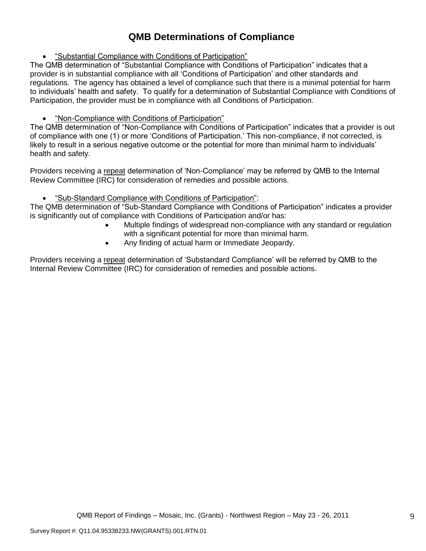# **QMB Determinations of Compliance**

"Substantial Compliance with Conditions of Participation"

The QMB determination of "Substantial Compliance with Conditions of Participation" indicates that a provider is in substantial compliance with all "Conditions of Participation" and other standards and regulations. The agency has obtained a level of compliance such that there is a minimal potential for harm to individuals" health and safety. To qualify for a determination of Substantial Compliance with Conditions of Participation, the provider must be in compliance with all Conditions of Participation.

# "Non-Compliance with Conditions of Participation"

The QMB determination of "Non-Compliance with Conditions of Participation" indicates that a provider is out of compliance with one (1) or more "Conditions of Participation." This non-compliance, if not corrected, is likely to result in a serious negative outcome or the potential for more than minimal harm to individuals' health and safety.

Providers receiving a repeat determination of 'Non-Compliance' may be referred by QMB to the Internal Review Committee (IRC) for consideration of remedies and possible actions.

# "Sub-Standard Compliance with Conditions of Participation":

The QMB determination of "Sub-Standard Compliance with Conditions of Participation" indicates a provider is significantly out of compliance with Conditions of Participation and/or has:

- Multiple findings of widespread non-compliance with any standard or regulation with a significant potential for more than minimal harm.
- Any finding of actual harm or Immediate Jeopardy.

Providers receiving a repeat determination of 'Substandard Compliance' will be referred by QMB to the Internal Review Committee (IRC) for consideration of remedies and possible actions.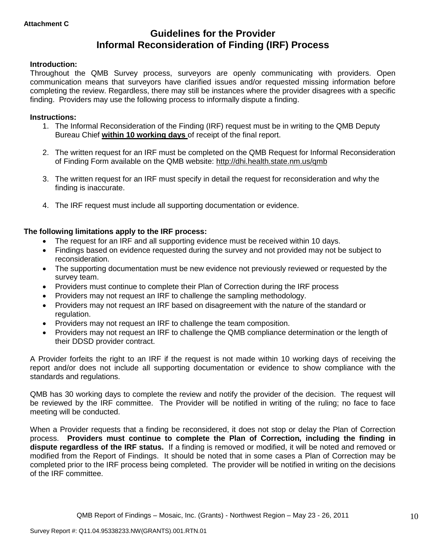# **Guidelines for the Provider Informal Reconsideration of Finding (IRF) Process**

## **Introduction:**

Throughout the QMB Survey process, surveyors are openly communicating with providers. Open communication means that surveyors have clarified issues and/or requested missing information before completing the review. Regardless, there may still be instances where the provider disagrees with a specific finding. Providers may use the following process to informally dispute a finding.

#### **Instructions:**

- 1. The Informal Reconsideration of the Finding (IRF) request must be in writing to the QMB Deputy Bureau Chief **within 10 working days** of receipt of the final report.
- 2. The written request for an IRF must be completed on the QMB Request for Informal Reconsideration of Finding Form available on the QMB website:<http://dhi.health.state.nm.us/qmb>
- 3. The written request for an IRF must specify in detail the request for reconsideration and why the finding is inaccurate.
- 4. The IRF request must include all supporting documentation or evidence.

## **The following limitations apply to the IRF process:**

- The request for an IRF and all supporting evidence must be received within 10 days.
- Findings based on evidence requested during the survey and not provided may not be subject to reconsideration.
- The supporting documentation must be new evidence not previously reviewed or requested by the survey team.
- Providers must continue to complete their Plan of Correction during the IRF process
- Providers may not request an IRF to challenge the sampling methodology.
- Providers may not request an IRF based on disagreement with the nature of the standard or regulation.
- Providers may not request an IRF to challenge the team composition.
- Providers may not request an IRF to challenge the QMB compliance determination or the length of their DDSD provider contract.

A Provider forfeits the right to an IRF if the request is not made within 10 working days of receiving the report and/or does not include all supporting documentation or evidence to show compliance with the standards and regulations.

QMB has 30 working days to complete the review and notify the provider of the decision. The request will be reviewed by the IRF committee. The Provider will be notified in writing of the ruling; no face to face meeting will be conducted.

When a Provider requests that a finding be reconsidered, it does not stop or delay the Plan of Correction process. **Providers must continue to complete the Plan of Correction, including the finding in dispute regardless of the IRF status.** If a finding is removed or modified, it will be noted and removed or modified from the Report of Findings. It should be noted that in some cases a Plan of Correction may be completed prior to the IRF process being completed. The provider will be notified in writing on the decisions of the IRF committee.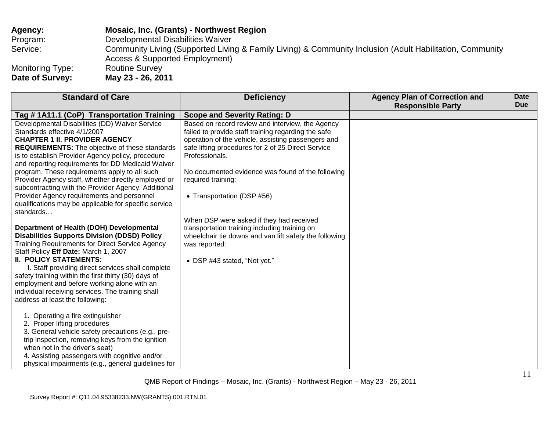| <b>Agency:</b>   | <b>Mosaic, Inc. (Grants) - Northwest Region</b>                                                                                            |
|------------------|--------------------------------------------------------------------------------------------------------------------------------------------|
| Program:         | Developmental Disabilities Waiver                                                                                                          |
| Service:         | Community Living (Supported Living & Family Living) & Community Inclusion (Adult Habilitation, Community<br>Access & Supported Employment) |
| Monitoring Type: | <b>Routine Survey</b>                                                                                                                      |
| Date of Survey:  | May 23 - 26, 2011                                                                                                                          |

| <b>Standard of Care</b>                               | <b>Deficiency</b>                                      | <b>Agency Plan of Correction and</b> | Date<br><b>Due</b> |
|-------------------------------------------------------|--------------------------------------------------------|--------------------------------------|--------------------|
|                                                       |                                                        | <b>Responsible Party</b>             |                    |
| Tag # 1A11.1 (CoP) Transportation Training            | <b>Scope and Severity Rating: D</b>                    |                                      |                    |
| Developmental Disabilities (DD) Waiver Service        | Based on record review and interview, the Agency       |                                      |                    |
| Standards effective 4/1/2007                          | failed to provide staff training regarding the safe    |                                      |                    |
| <b>CHAPTER 1 II. PROVIDER AGENCY</b>                  | operation of the vehicle, assisting passengers and     |                                      |                    |
| <b>REQUIREMENTS:</b> The objective of these standards | safe lifting procedures for 2 of 25 Direct Service     |                                      |                    |
| is to establish Provider Agency policy, procedure     | Professionals.                                         |                                      |                    |
| and reporting requirements for DD Medicaid Waiver     |                                                        |                                      |                    |
| program. These requirements apply to all such         | No documented evidence was found of the following      |                                      |                    |
| Provider Agency staff, whether directly employed or   | required training:                                     |                                      |                    |
| subcontracting with the Provider Agency. Additional   |                                                        |                                      |                    |
| Provider Agency requirements and personnel            | • Transportation (DSP #56)                             |                                      |                    |
| qualifications may be applicable for specific service |                                                        |                                      |                    |
| standards                                             |                                                        |                                      |                    |
|                                                       | When DSP were asked if they had received               |                                      |                    |
| Department of Health (DOH) Developmental              | transportation training including training on          |                                      |                    |
| <b>Disabilities Supports Division (DDSD) Policy</b>   | wheelchair tie downs and van lift safety the following |                                      |                    |
| Training Requirements for Direct Service Agency       | was reported:                                          |                                      |                    |
| Staff Policy Eff Date: March 1, 2007                  |                                                        |                                      |                    |
| <b>II. POLICY STATEMENTS:</b>                         | • DSP #43 stated, "Not yet."                           |                                      |                    |
| I. Staff providing direct services shall complete     |                                                        |                                      |                    |
| safety training within the first thirty (30) days of  |                                                        |                                      |                    |
| employment and before working alone with an           |                                                        |                                      |                    |
| individual receiving services. The training shall     |                                                        |                                      |                    |
| address at least the following:                       |                                                        |                                      |                    |
|                                                       |                                                        |                                      |                    |
| 1. Operating a fire extinguisher                      |                                                        |                                      |                    |
| 2. Proper lifting procedures                          |                                                        |                                      |                    |
| 3. General vehicle safety precautions (e.g., pre-     |                                                        |                                      |                    |
| trip inspection, removing keys from the ignition      |                                                        |                                      |                    |
| when not in the driver's seat)                        |                                                        |                                      |                    |
| 4. Assisting passengers with cognitive and/or         |                                                        |                                      |                    |
| physical impairments (e.g., general guidelines for    |                                                        |                                      |                    |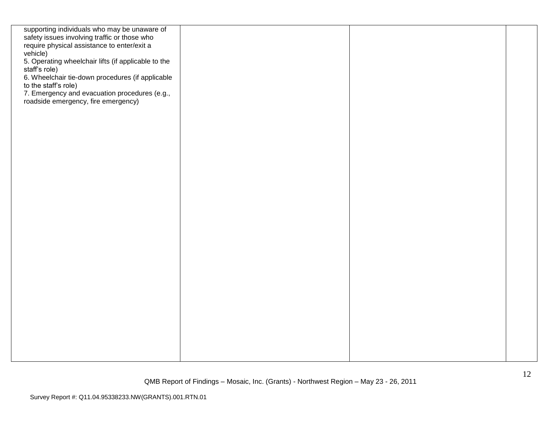| safety issues involving traffic or those who<br>require physical assistance to enter/exit a<br>vehicle) |  |  |
|---------------------------------------------------------------------------------------------------------|--|--|
| 5. Operating wheelchair lifts (if applicable to the                                                     |  |  |
| staff's role)<br>6. Wheelchair tie-down procedures (if applicable                                       |  |  |
| to the staff's role)<br>7. Emergency and evacuation procedures (e.g.,                                   |  |  |
| roadside emergency, fire emergency)                                                                     |  |  |
|                                                                                                         |  |  |
|                                                                                                         |  |  |
|                                                                                                         |  |  |
|                                                                                                         |  |  |
|                                                                                                         |  |  |
|                                                                                                         |  |  |
|                                                                                                         |  |  |
|                                                                                                         |  |  |
|                                                                                                         |  |  |
|                                                                                                         |  |  |
|                                                                                                         |  |  |
|                                                                                                         |  |  |
|                                                                                                         |  |  |
|                                                                                                         |  |  |
|                                                                                                         |  |  |
|                                                                                                         |  |  |
|                                                                                                         |  |  |
|                                                                                                         |  |  |
|                                                                                                         |  |  |
|                                                                                                         |  |  |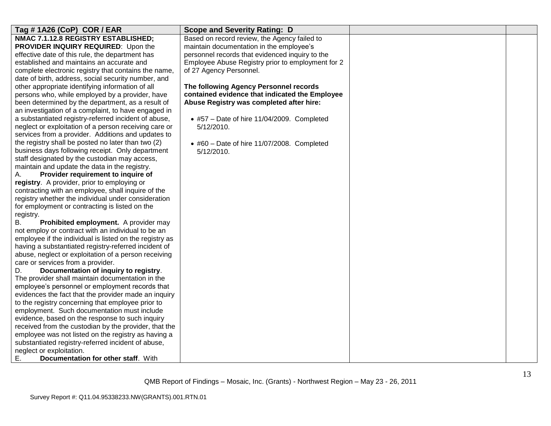| Tag #1A26 (CoP) COR / EAR                               | <b>Scope and Severity Rating: D</b>                |  |
|---------------------------------------------------------|----------------------------------------------------|--|
| NMAC 7.1.12.8 REGISTRY ESTABLISHED;                     | Based on record review, the Agency failed to       |  |
| PROVIDER INQUIRY REQUIRED: Upon the                     | maintain documentation in the employee's           |  |
| effective date of this rule, the department has         | personnel records that evidenced inquiry to the    |  |
| established and maintains an accurate and               | Employee Abuse Registry prior to employment for 2  |  |
| complete electronic registry that contains the name,    | of 27 Agency Personnel.                            |  |
| date of birth, address, social security number, and     |                                                    |  |
| other appropriate identifying information of all        | The following Agency Personnel records             |  |
| persons who, while employed by a provider, have         | contained evidence that indicated the Employee     |  |
| been determined by the department, as a result of       | Abuse Registry was completed after hire:           |  |
| an investigation of a complaint, to have engaged in     |                                                    |  |
| a substantiated registry-referred incident of abuse,    | $\bullet$ #57 - Date of hire 11/04/2009. Completed |  |
| neglect or exploitation of a person receiving care or   | 5/12/2010.                                         |  |
| services from a provider. Additions and updates to      |                                                    |  |
| the registry shall be posted no later than two (2)      | $\bullet$ #60 - Date of hire 11/07/2008. Completed |  |
| business days following receipt. Only department        | 5/12/2010.                                         |  |
| staff designated by the custodian may access,           |                                                    |  |
| maintain and update the data in the registry.           |                                                    |  |
| Provider requirement to inquire of<br>А.                |                                                    |  |
| registry. A provider, prior to employing or             |                                                    |  |
| contracting with an employee, shall inquire of the      |                                                    |  |
| registry whether the individual under consideration     |                                                    |  |
| for employment or contracting is listed on the          |                                                    |  |
| registry.                                               |                                                    |  |
| Prohibited employment. A provider may<br>В.             |                                                    |  |
| not employ or contract with an individual to be an      |                                                    |  |
| employee if the individual is listed on the registry as |                                                    |  |
| having a substantiated registry-referred incident of    |                                                    |  |
| abuse, neglect or exploitation of a person receiving    |                                                    |  |
| care or services from a provider.                       |                                                    |  |
| Documentation of inquiry to registry.<br>D.             |                                                    |  |
| The provider shall maintain documentation in the        |                                                    |  |
| employee's personnel or employment records that         |                                                    |  |
| evidences the fact that the provider made an inquiry    |                                                    |  |
| to the registry concerning that employee prior to       |                                                    |  |
| employment. Such documentation must include             |                                                    |  |
| evidence, based on the response to such inquiry         |                                                    |  |
| received from the custodian by the provider, that the   |                                                    |  |
| employee was not listed on the registry as having a     |                                                    |  |
| substantiated registry-referred incident of abuse,      |                                                    |  |
| neglect or exploitation.                                |                                                    |  |
| Е.<br>Documentation for other staff. With               |                                                    |  |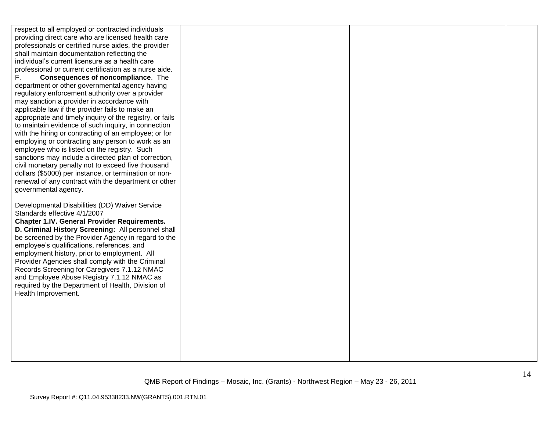respect to all employed or contracted individuals providing direct care who are licensed health care professionals or certified nurse aides, the provider shall maintain documentation reflecting the individual"s current licensure as a health care professional or current certification as a nurse aide. F. **Consequences of noncompliance**. The department or other governmental agency having regulatory enforcement authority over a provider may sanction a provider in accordance with applicable law if the provider fails to make an appropriate and timely inquiry of the registry, or fails to maintain evidence of such inquiry, in connection with the hiring or contracting of an employee; or for employing or contracting any person to work as an employee who is listed on the registry. Such sanctions may include a directed plan of correction, civil monetary penalty not to exceed five thousand dollars (\$5000) per instance, or termination or nonrenewal of any contract with the department or other governmental agency. Developmental Disabilities (DD) Waiver Service Standards effective 4/1/2007 **Chapter 1.IV. General Provider Requirements. D. Criminal History Screening:** All personnel shall be screened by the Provider Agency in regard to the employee"s qualifications, references, and employment history, prior to employment. All Provider Agencies shall comply with the Criminal Records Screening for Caregivers 7.1.12 NMAC and Employee Abuse Registry 7.1.12 NMAC as required by the Department of Health, Division of Health Improvement.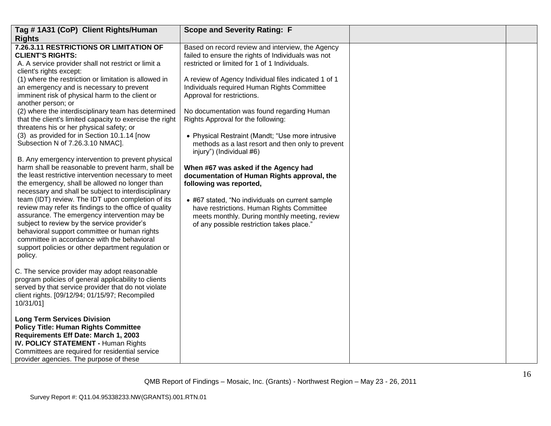| Tag #1A31 (CoP) Client Rights/Human<br><b>Rights</b>                                                                                                                                                                                                                                                                                                                                                                                                                                                                                                                                                                                                                                                                                                                                                                                                                                                                                                                                                                                                                                                                                                                                                                                           | <b>Scope and Severity Rating: F</b>                                                                                                                                                                                                                                                                                                                                                                                                                                                                                                                                                                                                                                                                                                                                                                                                   |  |
|------------------------------------------------------------------------------------------------------------------------------------------------------------------------------------------------------------------------------------------------------------------------------------------------------------------------------------------------------------------------------------------------------------------------------------------------------------------------------------------------------------------------------------------------------------------------------------------------------------------------------------------------------------------------------------------------------------------------------------------------------------------------------------------------------------------------------------------------------------------------------------------------------------------------------------------------------------------------------------------------------------------------------------------------------------------------------------------------------------------------------------------------------------------------------------------------------------------------------------------------|---------------------------------------------------------------------------------------------------------------------------------------------------------------------------------------------------------------------------------------------------------------------------------------------------------------------------------------------------------------------------------------------------------------------------------------------------------------------------------------------------------------------------------------------------------------------------------------------------------------------------------------------------------------------------------------------------------------------------------------------------------------------------------------------------------------------------------------|--|
| 7.26.3.11 RESTRICTIONS OR LIMITATION OF<br><b>CLIENT'S RIGHTS:</b><br>A. A service provider shall not restrict or limit a<br>client's rights except:<br>(1) where the restriction or limitation is allowed in<br>an emergency and is necessary to prevent<br>imminent risk of physical harm to the client or<br>another person; or<br>(2) where the interdisciplinary team has determined<br>that the client's limited capacity to exercise the right<br>threatens his or her physical safety; or<br>(3) as provided for in Section 10.1.14 [now<br>Subsection N of 7.26.3.10 NMAC].<br>B. Any emergency intervention to prevent physical<br>harm shall be reasonable to prevent harm, shall be<br>the least restrictive intervention necessary to meet<br>the emergency, shall be allowed no longer than<br>necessary and shall be subject to interdisciplinary<br>team (IDT) review. The IDT upon completion of its<br>review may refer its findings to the office of quality<br>assurance. The emergency intervention may be<br>subject to review by the service provider's<br>behavioral support committee or human rights<br>committee in accordance with the behavioral<br>support policies or other department regulation or<br>policy. | Based on record review and interview, the Agency<br>failed to ensure the rights of Individuals was not<br>restricted or limited for 1 of 1 Individuals.<br>A review of Agency Individual files indicated 1 of 1<br>Individuals required Human Rights Committee<br>Approval for restrictions.<br>No documentation was found regarding Human<br>Rights Approval for the following:<br>• Physical Restraint (Mandt; "Use more intrusive<br>methods as a last resort and then only to prevent<br>injury") (Individual #6)<br>When #67 was asked if the Agency had<br>documentation of Human Rights approval, the<br>following was reported,<br>• #67 stated, "No individuals on current sample<br>have restrictions. Human Rights Committee<br>meets monthly. During monthly meeting, review<br>of any possible restriction takes place." |  |
| C. The service provider may adopt reasonable<br>program policies of general applicability to clients<br>served by that service provider that do not violate<br>client rights. [09/12/94; 01/15/97; Recompiled<br>10/31/01]                                                                                                                                                                                                                                                                                                                                                                                                                                                                                                                                                                                                                                                                                                                                                                                                                                                                                                                                                                                                                     |                                                                                                                                                                                                                                                                                                                                                                                                                                                                                                                                                                                                                                                                                                                                                                                                                                       |  |
| <b>Long Term Services Division</b><br><b>Policy Title: Human Rights Committee</b><br>Requirements Eff Date: March 1, 2003<br><b>IV. POLICY STATEMENT - Human Rights</b><br>Committees are required for residential service<br>provider agencies. The purpose of these                                                                                                                                                                                                                                                                                                                                                                                                                                                                                                                                                                                                                                                                                                                                                                                                                                                                                                                                                                          |                                                                                                                                                                                                                                                                                                                                                                                                                                                                                                                                                                                                                                                                                                                                                                                                                                       |  |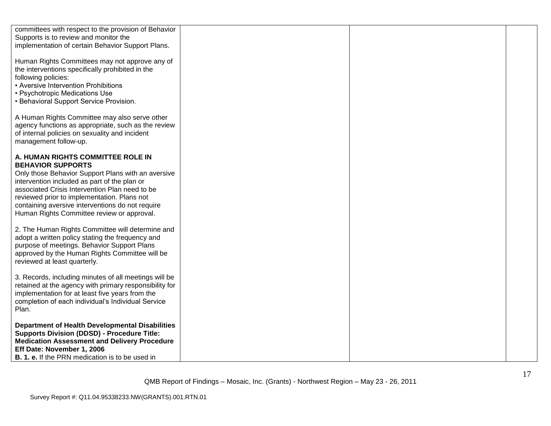| committees with respect to the provision of Behavior<br>Supports is to review and monitor the<br>implementation of certain Behavior Support Plans.                                                                                                                                                                                                                     |  |
|------------------------------------------------------------------------------------------------------------------------------------------------------------------------------------------------------------------------------------------------------------------------------------------------------------------------------------------------------------------------|--|
| Human Rights Committees may not approve any of<br>the interventions specifically prohibited in the<br>following policies:<br>• Aversive Intervention Prohibitions<br>• Psychotropic Medications Use<br>• Behavioral Support Service Provision.                                                                                                                         |  |
| A Human Rights Committee may also serve other<br>agency functions as appropriate, such as the review<br>of internal policies on sexuality and incident<br>management follow-up.                                                                                                                                                                                        |  |
| A. HUMAN RIGHTS COMMITTEE ROLE IN<br><b>BEHAVIOR SUPPORTS</b><br>Only those Behavior Support Plans with an aversive<br>intervention included as part of the plan or<br>associated Crisis Intervention Plan need to be<br>reviewed prior to implementation. Plans not<br>containing aversive interventions do not require<br>Human Rights Committee review or approval. |  |
| 2. The Human Rights Committee will determine and<br>adopt a written policy stating the frequency and<br>purpose of meetings. Behavior Support Plans<br>approved by the Human Rights Committee will be<br>reviewed at least quarterly.                                                                                                                                  |  |
| 3. Records, including minutes of all meetings will be<br>retained at the agency with primary responsibility for<br>implementation for at least five years from the<br>completion of each individual's Individual Service<br>Plan.                                                                                                                                      |  |
| <b>Department of Health Developmental Disabilities</b><br><b>Supports Division (DDSD) - Procedure Title:</b><br><b>Medication Assessment and Delivery Procedure</b><br>Eff Date: November 1, 2006<br><b>B. 1. e.</b> If the PRN medication is to be used in                                                                                                            |  |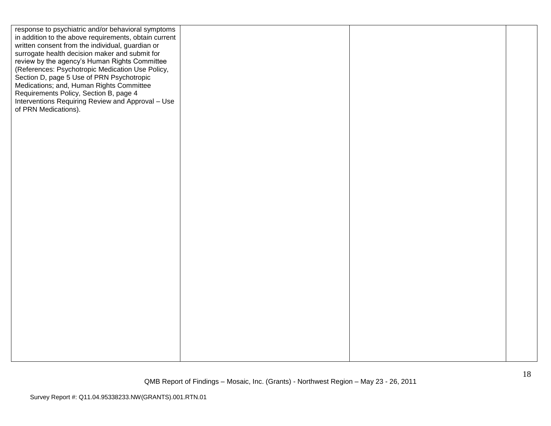| response to psychiatric and/or behavioral symptoms<br>in addition to the above requirements, obtain current<br>written consent from the individual, guardian or<br>surrogate health decision maker and submit for<br>review by the agency's Human Rights Committee<br>(References: Psychotropic Medication Use Policy,<br>Section D, page 5 Use of PRN Psychotropic<br>Medications; and, Human Rights Committee<br>Requirements Policy, Section B, page 4<br>Interventions Requiring Review and Approval - Use<br>of PRN Medications). |  |  |
|----------------------------------------------------------------------------------------------------------------------------------------------------------------------------------------------------------------------------------------------------------------------------------------------------------------------------------------------------------------------------------------------------------------------------------------------------------------------------------------------------------------------------------------|--|--|
|                                                                                                                                                                                                                                                                                                                                                                                                                                                                                                                                        |  |  |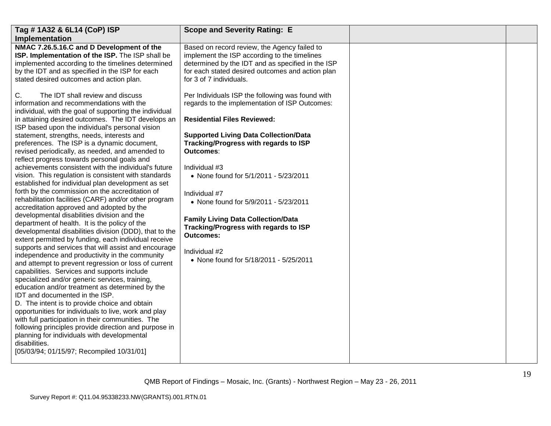| Tag # 1A32 & 6L14 (CoP) ISP                                                                                                                                                                                                                                                                                                                                                                                                                                                                                                                                                                                                                                                                                                                                                                                                                                                                                                                                                                                                                                                                                                                                                                                                                                                                                                                                                                                                                                                                                                                                                                                                         | <b>Scope and Severity Rating: E</b>                                                                                                                                                                                                                                                                                                                                                                                                                                                                                                     |  |
|-------------------------------------------------------------------------------------------------------------------------------------------------------------------------------------------------------------------------------------------------------------------------------------------------------------------------------------------------------------------------------------------------------------------------------------------------------------------------------------------------------------------------------------------------------------------------------------------------------------------------------------------------------------------------------------------------------------------------------------------------------------------------------------------------------------------------------------------------------------------------------------------------------------------------------------------------------------------------------------------------------------------------------------------------------------------------------------------------------------------------------------------------------------------------------------------------------------------------------------------------------------------------------------------------------------------------------------------------------------------------------------------------------------------------------------------------------------------------------------------------------------------------------------------------------------------------------------------------------------------------------------|-----------------------------------------------------------------------------------------------------------------------------------------------------------------------------------------------------------------------------------------------------------------------------------------------------------------------------------------------------------------------------------------------------------------------------------------------------------------------------------------------------------------------------------------|--|
| Implementation                                                                                                                                                                                                                                                                                                                                                                                                                                                                                                                                                                                                                                                                                                                                                                                                                                                                                                                                                                                                                                                                                                                                                                                                                                                                                                                                                                                                                                                                                                                                                                                                                      |                                                                                                                                                                                                                                                                                                                                                                                                                                                                                                                                         |  |
| NMAC 7.26.5.16.C and D Development of the<br>ISP. Implementation of the ISP. The ISP shall be<br>implemented according to the timelines determined<br>by the IDT and as specified in the ISP for each<br>stated desired outcomes and action plan.                                                                                                                                                                                                                                                                                                                                                                                                                                                                                                                                                                                                                                                                                                                                                                                                                                                                                                                                                                                                                                                                                                                                                                                                                                                                                                                                                                                   | Based on record review, the Agency failed to<br>implement the ISP according to the timelines<br>determined by the IDT and as specified in the ISP<br>for each stated desired outcomes and action plan<br>for 3 of 7 individuals.                                                                                                                                                                                                                                                                                                        |  |
| C.<br>The IDT shall review and discuss<br>information and recommendations with the<br>individual, with the goal of supporting the individual<br>in attaining desired outcomes. The IDT develops an<br>ISP based upon the individual's personal vision<br>statement, strengths, needs, interests and<br>preferences. The ISP is a dynamic document,<br>revised periodically, as needed, and amended to<br>reflect progress towards personal goals and<br>achievements consistent with the individual's future<br>vision. This regulation is consistent with standards<br>established for individual plan development as set<br>forth by the commission on the accreditation of<br>rehabilitation facilities (CARF) and/or other program<br>accreditation approved and adopted by the<br>developmental disabilities division and the<br>department of health. It is the policy of the<br>developmental disabilities division (DDD), that to the<br>extent permitted by funding, each individual receive<br>supports and services that will assist and encourage<br>independence and productivity in the community<br>and attempt to prevent regression or loss of current<br>capabilities. Services and supports include<br>specialized and/or generic services, training,<br>education and/or treatment as determined by the<br>IDT and documented in the ISP.<br>D. The intent is to provide choice and obtain<br>opportunities for individuals to live, work and play<br>with full participation in their communities. The<br>following principles provide direction and purpose in<br>planning for individuals with developmental | Per Individuals ISP the following was found with<br>regards to the implementation of ISP Outcomes:<br><b>Residential Files Reviewed:</b><br><b>Supported Living Data Collection/Data</b><br>Tracking/Progress with regards to ISP<br><b>Outcomes:</b><br>Individual #3<br>• None found for 5/1/2011 - 5/23/2011<br>Individual #7<br>• None found for 5/9/2011 - 5/23/2011<br><b>Family Living Data Collection/Data</b><br>Tracking/Progress with regards to ISP<br>Outcomes:<br>Individual #2<br>• None found for 5/18/2011 - 5/25/2011 |  |
| disabilities.<br>[05/03/94; 01/15/97; Recompiled 10/31/01]                                                                                                                                                                                                                                                                                                                                                                                                                                                                                                                                                                                                                                                                                                                                                                                                                                                                                                                                                                                                                                                                                                                                                                                                                                                                                                                                                                                                                                                                                                                                                                          |                                                                                                                                                                                                                                                                                                                                                                                                                                                                                                                                         |  |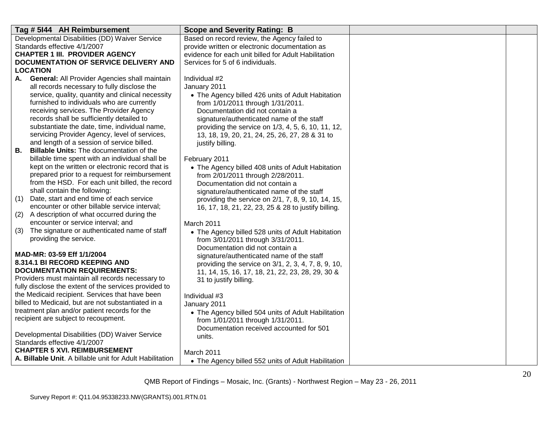| Tag # 5144 AH Reimbursement                                                                | <b>Scope and Severity Rating: B</b>                                  |  |
|--------------------------------------------------------------------------------------------|----------------------------------------------------------------------|--|
| Developmental Disabilities (DD) Waiver Service                                             | Based on record review, the Agency failed to                         |  |
| Standards effective 4/1/2007                                                               | provide written or electronic documentation as                       |  |
| <b>CHAPTER 1 III. PROVIDER AGENCY</b>                                                      | evidence for each unit billed for Adult Habilitation                 |  |
| DOCUMENTATION OF SERVICE DELIVERY AND                                                      | Services for 5 of 6 individuals.                                     |  |
| <b>LOCATION</b>                                                                            |                                                                      |  |
| A. General: All Provider Agencies shall maintain                                           | Individual #2                                                        |  |
| all records necessary to fully disclose the                                                | January 2011                                                         |  |
| service, quality, quantity and clinical necessity                                          | • The Agency billed 426 units of Adult Habitation                    |  |
| furnished to individuals who are currently                                                 | from 1/01/2011 through 1/31/2011.                                    |  |
| receiving services. The Provider Agency                                                    | Documentation did not contain a                                      |  |
| records shall be sufficiently detailed to<br>substantiate the date, time, individual name, | signature/authenticated name of the staff                            |  |
| servicing Provider Agency, level of services,                                              | providing the service on 1/3, 4, 5, 6, 10, 11, 12,                   |  |
| and length of a session of service billed.                                                 | 13, 18, 19, 20, 21, 24, 25, 26, 27, 28 & 31 to<br>justify billing.   |  |
| <b>Billable Units: The documentation of the</b><br>В.                                      |                                                                      |  |
| billable time spent with an individual shall be                                            | February 2011                                                        |  |
| kept on the written or electronic record that is                                           | • The Agency billed 408 units of Adult Habitation                    |  |
| prepared prior to a request for reimbursement                                              | from 2/01/2011 through 2/28/2011.                                    |  |
| from the HSD. For each unit billed, the record                                             | Documentation did not contain a                                      |  |
| shall contain the following:                                                               | signature/authenticated name of the staff                            |  |
| (1) Date, start and end time of each service                                               | providing the service on 2/1, 7, 8, 9, 10, 14, 15,                   |  |
| encounter or other billable service interval;                                              | 16, 17, 18, 21, 22, 23, 25 & 28 to justify billing.                  |  |
| (2)<br>A description of what occurred during the                                           |                                                                      |  |
| encounter or service interval; and                                                         | March 2011                                                           |  |
| The signature or authenticated name of staff<br>(3)<br>providing the service.              | • The Agency billed 528 units of Adult Habitation                    |  |
|                                                                                            | from 3/01/2011 through 3/31/2011.<br>Documentation did not contain a |  |
| MAD-MR: 03-59 Eff 1/1/2004                                                                 | signature/authenticated name of the staff                            |  |
| 8.314.1 BI RECORD KEEPING AND                                                              | providing the service on 3/1, 2, 3, 4, 7, 8, 9, 10,                  |  |
| <b>DOCUMENTATION REQUIREMENTS:</b>                                                         | 11, 14, 15, 16, 17, 18, 21, 22, 23, 28, 29, 30 &                     |  |
| Providers must maintain all records necessary to                                           | 31 to justify billing.                                               |  |
| fully disclose the extent of the services provided to                                      |                                                                      |  |
| the Medicaid recipient. Services that have been                                            | Individual #3                                                        |  |
| billed to Medicaid, but are not substantiated in a                                         | January 2011                                                         |  |
| treatment plan and/or patient records for the                                              | • The Agency billed 504 units of Adult Habilitation                  |  |
| recipient are subject to recoupment.                                                       | from 1/01/2011 through 1/31/2011.                                    |  |
|                                                                                            | Documentation received accounted for 501                             |  |
| Developmental Disabilities (DD) Waiver Service<br>Standards effective 4/1/2007             | units.                                                               |  |
| <b>CHAPTER 5 XVI. REIMBURSEMENT</b>                                                        |                                                                      |  |
| A. Billable Unit. A billable unit for Adult Habilitation                                   | March 2011                                                           |  |
|                                                                                            | • The Agency billed 552 units of Adult Habilitation                  |  |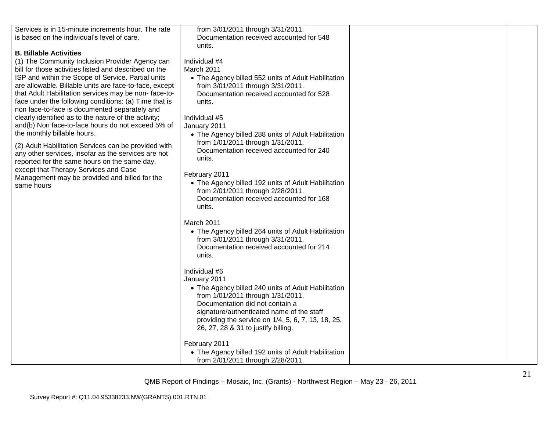| Services is in 15-minute increments hour. The rate     | from 3/01/2011 through 3/31/2011.                                             |  |
|--------------------------------------------------------|-------------------------------------------------------------------------------|--|
| is based on the individual's level of care.            | Documentation received accounted for 548                                      |  |
|                                                        | units.                                                                        |  |
| <b>B. Billable Activities</b>                          |                                                                               |  |
| (1) The Community Inclusion Provider Agency can        | Individual #4                                                                 |  |
| bill for those activities listed and described on the  | March 2011                                                                    |  |
| ISP and within the Scope of Service. Partial units     | • The Agency billed 552 units of Adult Habilitation                           |  |
| are allowable. Billable units are face-to-face, except | from 3/01/2011 through 3/31/2011.                                             |  |
| that Adult Habilitation services may be non-face-to-   | Documentation received accounted for 528                                      |  |
| face under the following conditions: (a) Time that is  | units.                                                                        |  |
| non face-to-face is documented separately and          |                                                                               |  |
| clearly identified as to the nature of the activity;   | Individual #5                                                                 |  |
| and(b) Non face-to-face hours do not exceed 5% of      | January 2011                                                                  |  |
| the monthly billable hours.                            | • The Agency billed 288 units of Adult Habilitation                           |  |
| (2) Adult Habilitation Services can be provided with   | from 1/01/2011 through 1/31/2011.                                             |  |
| any other services, insofar as the services are not    | Documentation received accounted for 240                                      |  |
| reported for the same hours on the same day,           | units.                                                                        |  |
| except that Therapy Services and Case                  |                                                                               |  |
| Management may be provided and billed for the          | February 2011                                                                 |  |
| same hours                                             | • The Agency billed 192 units of Adult Habilitation                           |  |
|                                                        | from 2/01/2011 through 2/28/2011.                                             |  |
|                                                        | Documentation received accounted for 168                                      |  |
|                                                        | units.                                                                        |  |
|                                                        | March 2011                                                                    |  |
|                                                        |                                                                               |  |
|                                                        | • The Agency billed 264 units of Adult Habilitation                           |  |
|                                                        | from 3/01/2011 through 3/31/2011.<br>Documentation received accounted for 214 |  |
|                                                        | units.                                                                        |  |
|                                                        |                                                                               |  |
|                                                        | Individual #6                                                                 |  |
|                                                        | January 2011                                                                  |  |
|                                                        | • The Agency billed 240 units of Adult Habilitation                           |  |
|                                                        | from 1/01/2011 through 1/31/2011.                                             |  |
|                                                        | Documentation did not contain a                                               |  |
|                                                        | signature/authenticated name of the staff                                     |  |
|                                                        | providing the service on 1/4, 5, 6, 7, 13, 18, 25,                            |  |
|                                                        | 26, 27, 28 & 31 to justify billing.                                           |  |
|                                                        |                                                                               |  |
|                                                        | February 2011                                                                 |  |
|                                                        | • The Agency billed 192 units of Adult Habilitation                           |  |
|                                                        | from 2/01/2011 through 2/28/2011.                                             |  |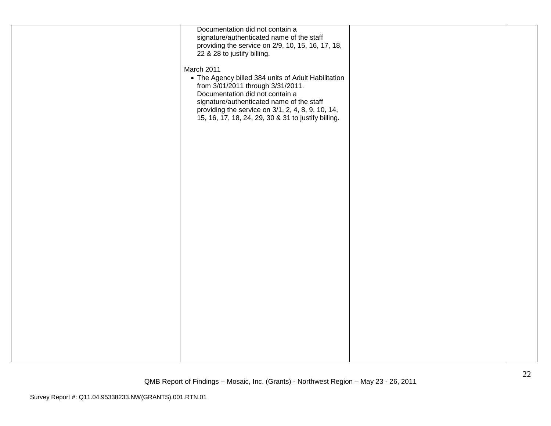| Documentation did not contain a                     |  |
|-----------------------------------------------------|--|
|                                                     |  |
| signature/authenticated name of the staff           |  |
| providing the service on 2/9, 10, 15, 16, 17, 18,   |  |
| 22 & 28 to justify billing.                         |  |
|                                                     |  |
| March 2011                                          |  |
| • The Agency billed 384 units of Adult Habilitation |  |
| from 3/01/2011 through 3/31/2011.                   |  |
| Documentation did not contain a                     |  |
|                                                     |  |
| signature/authenticated name of the staff           |  |
| providing the service on 3/1, 2, 4, 8, 9, 10, 14,   |  |
| 15, 16, 17, 18, 24, 29, 30 & 31 to justify billing. |  |
|                                                     |  |
|                                                     |  |
|                                                     |  |
|                                                     |  |
|                                                     |  |
|                                                     |  |
|                                                     |  |
|                                                     |  |
|                                                     |  |
|                                                     |  |
|                                                     |  |
|                                                     |  |
|                                                     |  |
|                                                     |  |
|                                                     |  |
|                                                     |  |
|                                                     |  |
|                                                     |  |
|                                                     |  |
|                                                     |  |
|                                                     |  |
|                                                     |  |
|                                                     |  |
|                                                     |  |
|                                                     |  |
|                                                     |  |
|                                                     |  |
|                                                     |  |
|                                                     |  |
|                                                     |  |
|                                                     |  |
|                                                     |  |
|                                                     |  |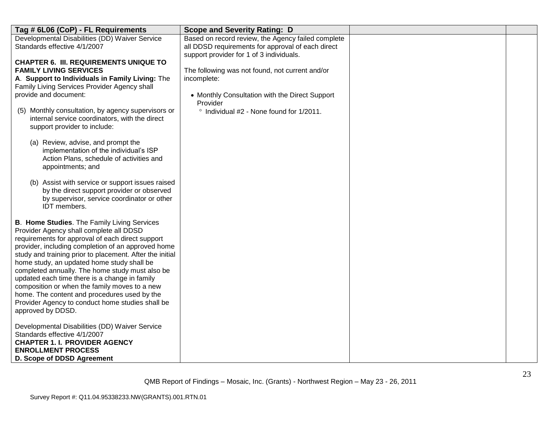| Tag # 6L06 (CoP) - FL Requirements                                                                                                                                                                                                                                                                                                                                                                                                                                                                                                                                                       | <b>Scope and Severity Rating: D</b>                                                           |  |
|------------------------------------------------------------------------------------------------------------------------------------------------------------------------------------------------------------------------------------------------------------------------------------------------------------------------------------------------------------------------------------------------------------------------------------------------------------------------------------------------------------------------------------------------------------------------------------------|-----------------------------------------------------------------------------------------------|--|
| Developmental Disabilities (DD) Waiver Service                                                                                                                                                                                                                                                                                                                                                                                                                                                                                                                                           | Based on record review, the Agency failed complete                                            |  |
| Standards effective 4/1/2007                                                                                                                                                                                                                                                                                                                                                                                                                                                                                                                                                             | all DDSD requirements for approval of each direct<br>support provider for 1 of 3 individuals. |  |
| <b>CHAPTER 6. III. REQUIREMENTS UNIQUE TO</b>                                                                                                                                                                                                                                                                                                                                                                                                                                                                                                                                            |                                                                                               |  |
| <b>FAMILY LIVING SERVICES</b>                                                                                                                                                                                                                                                                                                                                                                                                                                                                                                                                                            | The following was not found, not current and/or                                               |  |
| A. Support to Individuals in Family Living: The                                                                                                                                                                                                                                                                                                                                                                                                                                                                                                                                          | incomplete:                                                                                   |  |
| Family Living Services Provider Agency shall                                                                                                                                                                                                                                                                                                                                                                                                                                                                                                                                             |                                                                                               |  |
| provide and document:                                                                                                                                                                                                                                                                                                                                                                                                                                                                                                                                                                    | • Monthly Consultation with the Direct Support<br>Provider                                    |  |
| (5) Monthly consultation, by agency supervisors or<br>internal service coordinators, with the direct<br>support provider to include:                                                                                                                                                                                                                                                                                                                                                                                                                                                     | ° Individual #2 - None found for 1/2011.                                                      |  |
| (a) Review, advise, and prompt the<br>implementation of the individual's ISP<br>Action Plans, schedule of activities and<br>appointments; and                                                                                                                                                                                                                                                                                                                                                                                                                                            |                                                                                               |  |
| (b) Assist with service or support issues raised<br>by the direct support provider or observed<br>by supervisor, service coordinator or other<br>IDT members.                                                                                                                                                                                                                                                                                                                                                                                                                            |                                                                                               |  |
| B. Home Studies. The Family Living Services<br>Provider Agency shall complete all DDSD<br>requirements for approval of each direct support<br>provider, including completion of an approved home<br>study and training prior to placement. After the initial<br>home study, an updated home study shall be<br>completed annually. The home study must also be<br>updated each time there is a change in family<br>composition or when the family moves to a new<br>home. The content and procedures used by the<br>Provider Agency to conduct home studies shall be<br>approved by DDSD. |                                                                                               |  |
| Developmental Disabilities (DD) Waiver Service<br>Standards effective 4/1/2007<br><b>CHAPTER 1. I. PROVIDER AGENCY</b><br><b>ENROLLMENT PROCESS</b><br>D. Scope of DDSD Agreement                                                                                                                                                                                                                                                                                                                                                                                                        |                                                                                               |  |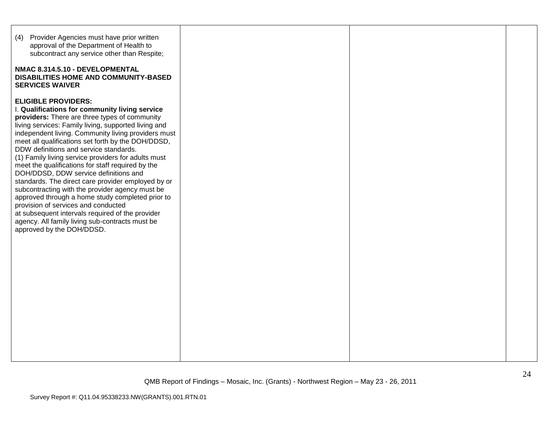| (4) Provider Agencies must have prior written<br>approval of the Department of Health to<br>subcontract any service other than Respite;<br>NMAC 8.314.5.10 - DEVELOPMENTAL<br><b>DISABILITIES HOME AND COMMUNITY-BASED</b><br><b>SERVICES WAIVER</b>                                                                                                                                                                                                                                                                                                                                                                                                                                                                                                                                                                                      |  |  |
|-------------------------------------------------------------------------------------------------------------------------------------------------------------------------------------------------------------------------------------------------------------------------------------------------------------------------------------------------------------------------------------------------------------------------------------------------------------------------------------------------------------------------------------------------------------------------------------------------------------------------------------------------------------------------------------------------------------------------------------------------------------------------------------------------------------------------------------------|--|--|
| <b>ELIGIBLE PROVIDERS:</b><br>I. Qualifications for community living service<br>providers: There are three types of community<br>living services: Family living, supported living and<br>independent living. Community living providers must<br>meet all qualifications set forth by the DOH/DDSD,<br>DDW definitions and service standards.<br>(1) Family living service providers for adults must<br>meet the qualifications for staff required by the<br>DOH/DDSD, DDW service definitions and<br>standards. The direct care provider employed by or<br>subcontracting with the provider agency must be<br>approved through a home study completed prior to<br>provision of services and conducted<br>at subsequent intervals required of the provider<br>agency. All family living sub-contracts must be<br>approved by the DOH/DDSD. |  |  |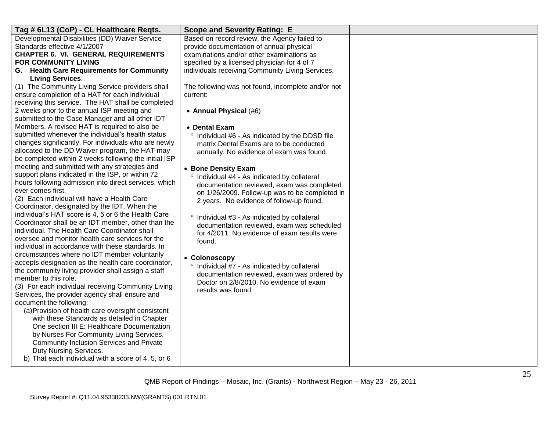| Developmental Disabilities (DD) Waiver Service<br>Based on record review, the Agency failed to<br>Standards effective 4/1/2007<br>provide documentation of annual physical<br><b>CHAPTER 6. VI. GENERAL REQUIREMENTS</b><br>examinations and/or other examinations as<br><b>FOR COMMUNITY LIVING</b><br>specified by a licensed physician for 4 of 7<br>G. Health Care Requirements for Community<br>individuals receiving Community Living Services.<br><b>Living Services.</b><br>(1) The Community Living Service providers shall<br>The following was not found, incomplete and/or not<br>ensure completion of a HAT for each individual<br>current:<br>receiving this service. The HAT shall be completed<br>2 weeks prior to the annual ISP meeting and<br>• Annual Physical (#6)<br>submitted to the Case Manager and all other IDT<br>Members. A revised HAT is required to also be<br>• Dental Exam<br>submitted whenever the individual's health status<br>° Individual #6 - As indicated by the DDSD file<br>changes significantly. For individuals who are newly<br>matrix Dental Exams are to be conducted<br>allocated to the DD Waiver program, the HAT may<br>annually. No evidence of exam was found.<br>be completed within 2 weeks following the initial ISP<br>meeting and submitted with any strategies and<br>• Bone Density Exam<br>support plans indicated in the ISP, or within 72<br>° Individual #4 - As indicated by collateral<br>hours following admission into direct services, which<br>documentation reviewed, exam was completed<br>ever comes first.<br>on 1/26/2009. Follow-up was to be completed in<br>(2) Each individual will have a Health Care<br>2 years. No evidence of follow-up found.<br>Coordinator, designated by the IDT. When the<br>individual's HAT score is 4, 5 or 6 the Health Care<br>° Individual #3 - As indicated by collateral<br>Coordinator shall be an IDT member, other than the<br>documentation reviewed, exam was scheduled<br>individual. The Health Care Coordinator shall<br>for 4/2011. No evidence of exam results were<br>oversee and monitor health care services for the<br>found.<br>individual in accordance with these standards. In<br>circumstances where no IDT member voluntarily<br>• Colonoscopy<br>accepts designation as the health care coordinator,<br>° Individual #7 - As indicated by collateral<br>the community living provider shall assign a staff<br>documentation reviewed, exam was ordered by<br>member to this role.<br>Doctor on 2/8/2010. No evidence of exam<br>(3) For each individual receiving Community Living<br>results was found.<br>Services, the provider agency shall ensure and<br>document the following: |
|-------------------------------------------------------------------------------------------------------------------------------------------------------------------------------------------------------------------------------------------------------------------------------------------------------------------------------------------------------------------------------------------------------------------------------------------------------------------------------------------------------------------------------------------------------------------------------------------------------------------------------------------------------------------------------------------------------------------------------------------------------------------------------------------------------------------------------------------------------------------------------------------------------------------------------------------------------------------------------------------------------------------------------------------------------------------------------------------------------------------------------------------------------------------------------------------------------------------------------------------------------------------------------------------------------------------------------------------------------------------------------------------------------------------------------------------------------------------------------------------------------------------------------------------------------------------------------------------------------------------------------------------------------------------------------------------------------------------------------------------------------------------------------------------------------------------------------------------------------------------------------------------------------------------------------------------------------------------------------------------------------------------------------------------------------------------------------------------------------------------------------------------------------------------------------------------------------------------------------------------------------------------------------------------------------------------------------------------------------------------------------------------------------------------------------------------------------------------------------------------------------------------------------------------------------------------------------------------------------------------------------------------------------------------------------------------------------------------------------|
| (a) Provision of health care oversight consistent<br>with these Standards as detailed in Chapter<br>One section III E: Healthcare Documentation<br>by Nurses For Community Living Services,<br><b>Community Inclusion Services and Private</b>                                                                                                                                                                                                                                                                                                                                                                                                                                                                                                                                                                                                                                                                                                                                                                                                                                                                                                                                                                                                                                                                                                                                                                                                                                                                                                                                                                                                                                                                                                                                                                                                                                                                                                                                                                                                                                                                                                                                                                                                                                                                                                                                                                                                                                                                                                                                                                                                                                                                                |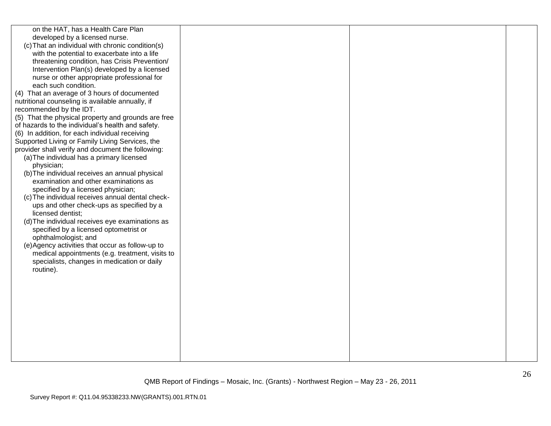| on the HAT, has a Health Care Plan<br>developed by a licensed nurse.<br>(c) That an individual with chronic condition(s)<br>with the potential to exacerbate into a life<br>threatening condition, has Crisis Prevention/<br>Intervention Plan(s) developed by a licensed<br>nurse or other appropriate professional for<br>each such condition.<br>(4) That an average of 3 hours of documented<br>nutritional counseling is available annually, if<br>recommended by the IDT.<br>(5) That the physical property and grounds are free<br>of hazards to the individual's health and safety.<br>(6) In addition, for each individual receiving<br>Supported Living or Family Living Services, the<br>provider shall verify and document the following:<br>(a) The individual has a primary licensed<br>physician;<br>(b) The individual receives an annual physical<br>examination and other examinations as<br>specified by a licensed physician;<br>(c) The individual receives annual dental check-<br>ups and other check-ups as specified by a<br>licensed dentist;<br>(d) The individual receives eye examinations as<br>specified by a licensed optometrist or<br>ophthalmologist; and<br>(e) Agency activities that occur as follow-up to<br>medical appointments (e.g. treatment, visits to<br>specialists, changes in medication or daily<br>routine). |  |  |
|-----------------------------------------------------------------------------------------------------------------------------------------------------------------------------------------------------------------------------------------------------------------------------------------------------------------------------------------------------------------------------------------------------------------------------------------------------------------------------------------------------------------------------------------------------------------------------------------------------------------------------------------------------------------------------------------------------------------------------------------------------------------------------------------------------------------------------------------------------------------------------------------------------------------------------------------------------------------------------------------------------------------------------------------------------------------------------------------------------------------------------------------------------------------------------------------------------------------------------------------------------------------------------------------------------------------------------------------------------------------|--|--|
|                                                                                                                                                                                                                                                                                                                                                                                                                                                                                                                                                                                                                                                                                                                                                                                                                                                                                                                                                                                                                                                                                                                                                                                                                                                                                                                                                                 |  |  |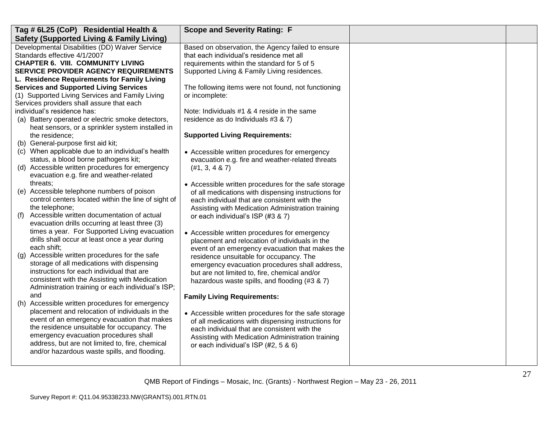| Tag # 6L25 (CoP) Residential Health &                | <b>Scope and Severity Rating: F</b>                  |  |
|------------------------------------------------------|------------------------------------------------------|--|
| <b>Safety (Supported Living &amp; Family Living)</b> |                                                      |  |
| Developmental Disabilities (DD) Waiver Service       | Based on observation, the Agency failed to ensure    |  |
| Standards effective 4/1/2007                         | that each individual's residence met all             |  |
| <b>CHAPTER 6. VIII. COMMUNITY LIVING</b>             | requirements within the standard for 5 of 5          |  |
| <b>SERVICE PROVIDER AGENCY REQUIREMENTS</b>          | Supported Living & Family Living residences.         |  |
| L. Residence Requirements for Family Living          |                                                      |  |
| <b>Services and Supported Living Services</b>        | The following items were not found, not functioning  |  |
| (1) Supported Living Services and Family Living      | or incomplete:                                       |  |
| Services providers shall assure that each            |                                                      |  |
| individual's residence has:                          | Note: Individuals #1 & 4 reside in the same          |  |
| (a) Battery operated or electric smoke detectors,    | residence as do Individuals #3 & 7)                  |  |
| heat sensors, or a sprinkler system installed in     |                                                      |  |
| the residence;                                       | <b>Supported Living Requirements:</b>                |  |
| (b) General-purpose first aid kit;                   |                                                      |  |
| (c) When applicable due to an individual's health    | • Accessible written procedures for emergency        |  |
| status, a blood borne pathogens kit;                 | evacuation e.g. fire and weather-related threats     |  |
| (d) Accessible written procedures for emergency      | (H1, 3, 4 & 87)                                      |  |
| evacuation e.g. fire and weather-related             |                                                      |  |
| threats:                                             | • Accessible written procedures for the safe storage |  |
| (e) Accessible telephone numbers of poison           | of all medications with dispensing instructions for  |  |
| control centers located within the line of sight of  | each individual that are consistent with the         |  |
| the telephone;                                       | Assisting with Medication Administration training    |  |
| Accessible written documentation of actual<br>(f)    | or each individual's ISP (#3 & 7)                    |  |
| evacuation drills occurring at least three (3)       |                                                      |  |
| times a year. For Supported Living evacuation        | • Accessible written procedures for emergency        |  |
| drills shall occur at least once a year during       | placement and relocation of individuals in the       |  |
| each shift;                                          | event of an emergency evacuation that makes the      |  |
| Accessible written procedures for the safe<br>(g)    | residence unsuitable for occupancy. The              |  |
| storage of all medications with dispensing           | emergency evacuation procedures shall address,       |  |
| instructions for each individual that are            | but are not limited to, fire, chemical and/or        |  |
| consistent with the Assisting with Medication        | hazardous waste spills, and flooding (#3 & 7)        |  |
| Administration training or each individual's ISP;    |                                                      |  |
| and                                                  | <b>Family Living Requirements:</b>                   |  |
| (h) Accessible written procedures for emergency      |                                                      |  |
| placement and relocation of individuals in the       | • Accessible written procedures for the safe storage |  |
| event of an emergency evacuation that makes          | of all medications with dispensing instructions for  |  |
| the residence unsuitable for occupancy. The          | each individual that are consistent with the         |  |
| emergency evacuation procedures shall                | Assisting with Medication Administration training    |  |
| address, but are not limited to, fire, chemical      | or each individual's ISP (#2, 5 & 6)                 |  |
| and/or hazardous waste spills, and flooding.         |                                                      |  |
|                                                      |                                                      |  |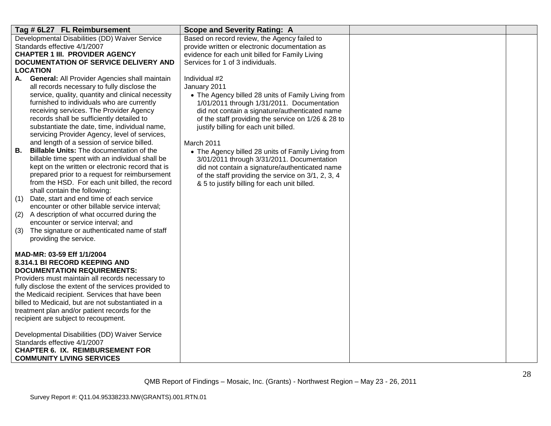| Tag # 6L27 FL Reimbursement                                                                         | <b>Scope and Severity Rating: A</b>                                                         |  |
|-----------------------------------------------------------------------------------------------------|---------------------------------------------------------------------------------------------|--|
| Developmental Disabilities (DD) Waiver Service                                                      | Based on record review, the Agency failed to                                                |  |
| Standards effective 4/1/2007                                                                        | provide written or electronic documentation as                                              |  |
| <b>CHAPTER 1 III. PROVIDER AGENCY</b><br><b>DOCUMENTATION OF SERVICE DELIVERY AND</b>               | evidence for each unit billed for Family Living<br>Services for 1 of 3 individuals.         |  |
| <b>LOCATION</b>                                                                                     |                                                                                             |  |
| <b>General: All Provider Agencies shall maintain</b><br>А.                                          | Individual #2                                                                               |  |
| all records necessary to fully disclose the                                                         | January 2011                                                                                |  |
| service, quality, quantity and clinical necessity                                                   | • The Agency billed 28 units of Family Living from                                          |  |
| furnished to individuals who are currently                                                          | 1/01/2011 through 1/31/2011. Documentation                                                  |  |
| receiving services. The Provider Agency                                                             | did not contain a signature/authenticated name                                              |  |
| records shall be sufficiently detailed to<br>substantiate the date, time, individual name,          | of the staff providing the service on 1/26 & 28 to<br>justify billing for each unit billed. |  |
| servicing Provider Agency, level of services,                                                       |                                                                                             |  |
| and length of a session of service billed.                                                          | March 2011                                                                                  |  |
| <b>Billable Units:</b> The documentation of the<br>В.                                               | • The Agency billed 28 units of Family Living from                                          |  |
| billable time spent with an individual shall be                                                     | 3/01/2011 through 3/31/2011. Documentation                                                  |  |
| kept on the written or electronic record that is                                                    | did not contain a signature/authenticated name                                              |  |
| prepared prior to a request for reimbursement                                                       | of the staff providing the service on 3/1, 2, 3, 4                                          |  |
| from the HSD. For each unit billed, the record<br>shall contain the following:                      | & 5 to justify billing for each unit billed.                                                |  |
| Date, start and end time of each service<br>(1)                                                     |                                                                                             |  |
| encounter or other billable service interval;                                                       |                                                                                             |  |
| A description of what occurred during the<br>(2)                                                    |                                                                                             |  |
| encounter or service interval; and                                                                  |                                                                                             |  |
| (3)<br>The signature or authenticated name of staff                                                 |                                                                                             |  |
| providing the service.                                                                              |                                                                                             |  |
| MAD-MR: 03-59 Eff 1/1/2004                                                                          |                                                                                             |  |
| 8.314.1 BI RECORD KEEPING AND                                                                       |                                                                                             |  |
| <b>DOCUMENTATION REQUIREMENTS:</b>                                                                  |                                                                                             |  |
| Providers must maintain all records necessary to                                                    |                                                                                             |  |
| fully disclose the extent of the services provided to                                               |                                                                                             |  |
| the Medicaid recipient. Services that have been                                                     |                                                                                             |  |
| billed to Medicaid, but are not substantiated in a<br>treatment plan and/or patient records for the |                                                                                             |  |
| recipient are subject to recoupment.                                                                |                                                                                             |  |
|                                                                                                     |                                                                                             |  |
| Developmental Disabilities (DD) Waiver Service                                                      |                                                                                             |  |
| Standards effective 4/1/2007                                                                        |                                                                                             |  |
| <b>CHAPTER 6. IX. REIMBURSEMENT FOR</b>                                                             |                                                                                             |  |
| <b>COMMUNITY LIVING SERVICES</b>                                                                    |                                                                                             |  |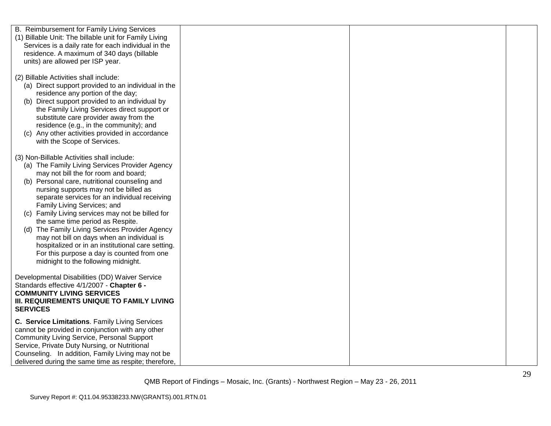| B. Reimbursement for Family Living Services            |  |  |
|--------------------------------------------------------|--|--|
| (1) Billable Unit: The billable unit for Family Living |  |  |
| Services is a daily rate for each individual in the    |  |  |
| residence. A maximum of 340 days (billable             |  |  |
| units) are allowed per ISP year.                       |  |  |
|                                                        |  |  |
| (2) Billable Activities shall include:                 |  |  |
|                                                        |  |  |
| (a) Direct support provided to an individual in the    |  |  |
| residence any portion of the day;                      |  |  |
| (b) Direct support provided to an individual by        |  |  |
| the Family Living Services direct support or           |  |  |
| substitute care provider away from the                 |  |  |
| residence (e.g., in the community); and                |  |  |
| (c) Any other activities provided in accordance        |  |  |
| with the Scope of Services.                            |  |  |
|                                                        |  |  |
| (3) Non-Billable Activities shall include:             |  |  |
| (a) The Family Living Services Provider Agency         |  |  |
| may not bill the for room and board;                   |  |  |
| (b) Personal care, nutritional counseling and          |  |  |
| nursing supports may not be billed as                  |  |  |
| separate services for an individual receiving          |  |  |
| Family Living Services; and                            |  |  |
| (c) Family Living services may not be billed for       |  |  |
| the same time period as Respite.                       |  |  |
| (d) The Family Living Services Provider Agency         |  |  |
| may not bill on days when an individual is             |  |  |
| hospitalized or in an institutional care setting.      |  |  |
| For this purpose a day is counted from one             |  |  |
| midnight to the following midnight.                    |  |  |
|                                                        |  |  |
| Developmental Disabilities (DD) Waiver Service         |  |  |
| Standards effective 4/1/2007 - Chapter 6 -             |  |  |
| <b>COMMUNITY LIVING SERVICES</b>                       |  |  |
| III. REQUIREMENTS UNIQUE TO FAMILY LIVING              |  |  |
| <b>SERVICES</b>                                        |  |  |
|                                                        |  |  |
| C. Service Limitations. Family Living Services         |  |  |
| cannot be provided in conjunction with any other       |  |  |
| <b>Community Living Service, Personal Support</b>      |  |  |
| Service, Private Duty Nursing, or Nutritional          |  |  |
| Counseling. In addition, Family Living may not be      |  |  |
| delivered during the same time as respite; therefore,  |  |  |
|                                                        |  |  |